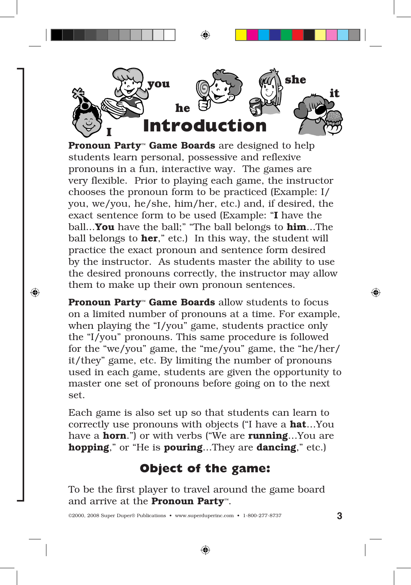

Pronoun Party<sup>™</sup> Game Boards are designed to help students learn personal, possessive and reflexive pronouns in a fun, interactive way. The games are very flexible. Prior to playing each game, the instructor chooses the pronoun form to be practiced (Example: I/ you, we/you, he/she, him/her, etc.) and, if desired, the exact sentence form to be used (Example: "I have the ball...You have the ball;" "The ball belongs to him...The ball belongs to **her**," etc.) In this way, the student will practice the exact pronoun and sentence form desired by the instructor. As students master the ability to use the desired pronouns correctly, the instructor may allow them to make up their own pronoun sentences.

Pronoun Party<sup>™</sup> Game Boards allow students to focus on a limited number of pronouns at a time. For example, when playing the "I/you" game, students practice only the "I/you" pronouns. This same procedure is followed for the "we/you" game, the "me/you" game, the "he/her/ it/they" game, etc. By limiting the number of pronouns used in each game, students are given the opportunity to master one set of pronouns before going on to the next set.

Each game is also set up so that students can learn to correctly use pronouns with objects ("I have a hat…You have a **horn**.") or with verbs ("We are **running**...You are hopping," or "He is pouring...They are dancing," etc.)

## **Object of the game:**

To be the first player to travel around the game board and arrive at the Pronoun Party™.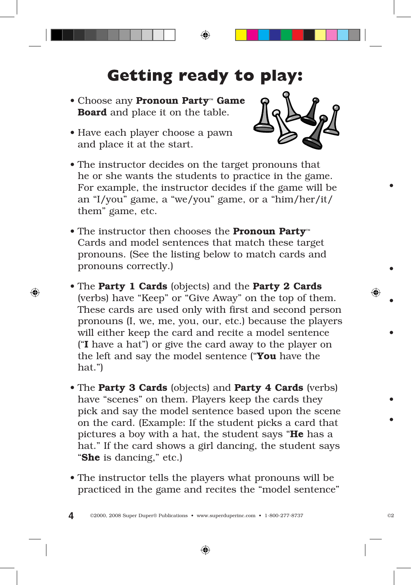## **Getting ready to play:**

- Choose any Pronoun Party™ Game Board and place it on the table.
- Have each player choose a pawn and place it at the start.



- The instructor decides on the target pronouns that he or she wants the students to practice in the game. For example, the instructor decides if the game will be an "I/you" game, a "we/you" game, or a "him/her/it/ them" game, etc.
- The instructor then chooses the Pronoun Party™ Cards and model sentences that match these target pronouns. (See the listing below to match cards and pronouns correctly.)
- The Party 1 Cards (objects) and the Party 2 Cards (verbs) have "Keep" or "Give Away" on the top of them. These cards are used only with first and second person pronouns (I, we, me, you, our, etc.) because the players will either keep the card and recite a model sentence ("I have a hat") or give the card away to the player on the left and say the model sentence ("You have the hat.")
- The Party 3 Cards (objects) and Party 4 Cards (verbs) have "scenes" on them. Players keep the cards they pick and say the model sentence based upon the scene on the card. (Example: If the student picks a card that pictures a boy with a hat, the student says "He has a hat." If the card shows a girl dancing, the student says "She is dancing," etc.)
- The instructor tells the players what pronouns will be practiced in the game and recites the "model sentence"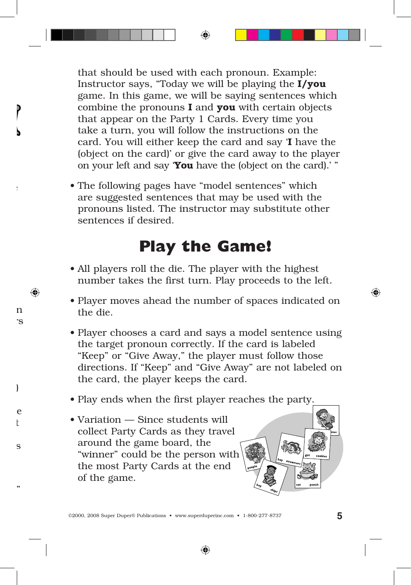that should be used with each pronoun. Example: Instructor says, "Today we will be playing the  $I/you$ game. In this game, we will be saying sentences which combine the pronouns  $I$  and you with certain objects that appear on the Party 1 Cards. Every time you take a turn, you will follow the instructions on the card. You will either keep the card and say 'I have the (object on the card)' or give the card away to the player on your left and say **You** have the (object on the card).' "

• The following pages have "model sentences" which are suggested sentences that may be used with the pronouns listed. The instructor may substitute other sentences if desired.

## **Play the Game!**

- All players roll the die. The player with the highest number takes the first turn. Play proceeds to the left.
- Player moves ahead the number of spaces indicated on the die.
- Player chooses a card and says a model sentence using the target pronoun correctly. If the card is labeled "Keep" or "Give Away," the player must follow those directions. If "Keep" and "Give Away" are not labeled on the card, the player keeps the card.
- Play ends when the first player reaches the party.
- Variation Since students will collect Party Cards as they travel around the game board, the "winner" could be the person with the most Party Cards at the end of the game.

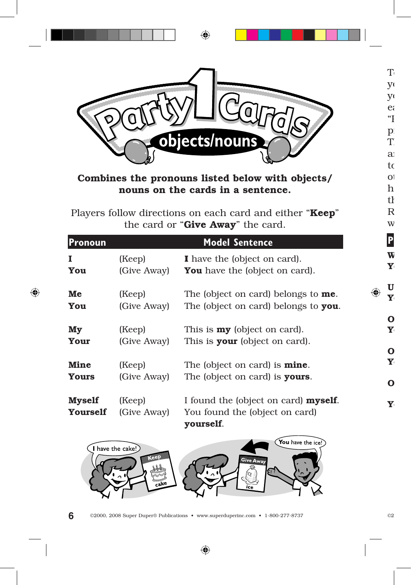

## Combines the pronouns listed below with objects/ nouns on the cards in a sentence.

Players follow directions on each card and either "Keep" the card or "Give Away" the card.

| Pronoun                          |                       | <b>Model Sentence</b>                                                               |
|----------------------------------|-----------------------|-------------------------------------------------------------------------------------|
| 1                                | (Keep)                | I have the (object on card).                                                        |
| You                              | (Give Away)           | <b>You</b> have the (object on card).                                               |
| Me                               | (Keep)                | The (object on card) belongs to <b>me</b> .                                         |
| You                              | (Give Away)           | The (object on card) belongs to you.                                                |
| My                               | (Keep)                | This is $my$ (object on card).                                                      |
| Your                             | (Give Away)           | This is <b>your</b> (object on card).                                               |
| <b>Mine</b>                      | (Keep)                | The (object on card) is <b>mine</b> .                                               |
| <b>Yours</b>                     | (Give Away)           | The (object on card) is <b>yours</b> .                                              |
| <b>Myself</b><br><b>Yourself</b> | (Keep)<br>(Give Away) | I found the (object on card) myself.<br>You found the (object on card)<br>yourself. |

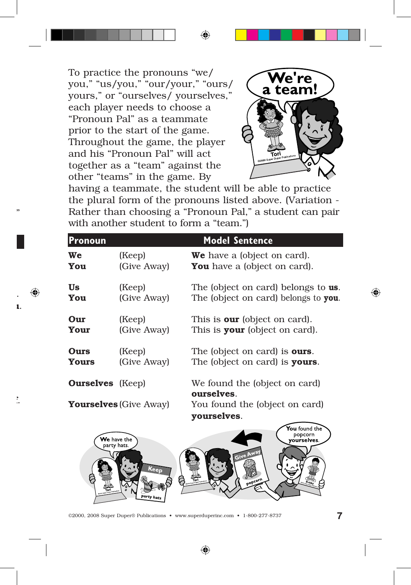To practice the pronouns "we/ you," "us/you," "our/your," "ours/ yours," or "ourselves/ yourselves," each player needs to choose a "Pronoun Pal" as a teammate prior to the start of the game. Throughout the game, the player and his "Pronoun Pal" will act together as a "team" against the other "teams" in the game. By



having a teammate, the student will be able to practice the plural form of the pronouns listed above. (Variation - Rather than choosing a "Pronoun Pal," a student can pair with another student to form a "team."

| Pronoun                 |                       | <b>Model Sentence</b>                       |
|-------------------------|-----------------------|---------------------------------------------|
| We                      | (Keep)                | <b>We</b> have a (object on card).          |
| You                     | (Give Away)           | <b>You</b> have a (object on card).         |
| Us                      | (Keep)                | The (object on card) belongs to <b>us</b> . |
| You                     | (Give Away)           | The (object on card) belongs to you.        |
| Our                     | (Keep)                | This is <b>our</b> (object on card).        |
| Your                    | (Give Away)           | This is <b>your</b> (object on card).       |
| Ours                    | (Keep)                | The (object on card) is <b>ours</b> .       |
| <b>Yours</b>            | (Give Away)           | The (object on card) is <b>yours</b> .      |
| <b>Ourselves</b> (Keep) |                       | We found the (object on card)<br>ourselves. |
|                         | $\sum_{n=1}^{\infty}$ | $Y_{\alpha+1}$ formal the (absent on cond)  |

**Yourselves** (Give Away) You found the (object on card) yourselves.

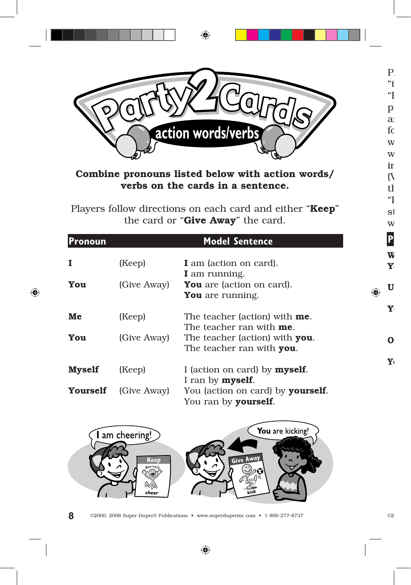

Combine pronouns listed below with action words/ verbs on the cards in a sentence.

Players follow directions on each card and either "Keep" the card or "Give Away" the card.

| Pronoun         |             | <b>Model Sentence</b>                                                                           |
|-----------------|-------------|-------------------------------------------------------------------------------------------------|
| 1               | (Keep)      | <b>I</b> am (action on card).                                                                   |
| You             | (Give Away) | I am running.<br><b>You</b> are (action on card).<br><b>You</b> are running.                    |
| Me              | (Keep)      | The teacher (action) with <b>me</b> .                                                           |
| You             | (Give Away) | The teacher ran with <b>me</b> .<br>The teacher (action) with you.<br>The teacher ran with you. |
| <b>Myself</b>   | (Keep)      | I (action on card) by <b>myself</b> .<br>I ran by <b>myself</b> .                               |
| <b>Yourself</b> | (Give Away) | You (action on card) by <b>yourself</b> .<br>You ran by <b>yourself</b> .                       |